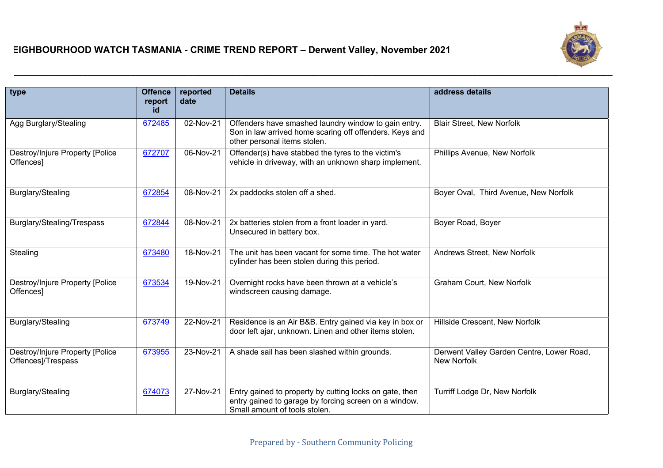| type                                                  | <b>Offence</b><br>report<br>id | reported<br>date | <b>Details</b>                                                                                                                                    | address details                                                 |
|-------------------------------------------------------|--------------------------------|------------------|---------------------------------------------------------------------------------------------------------------------------------------------------|-----------------------------------------------------------------|
| Agg Burglary/Stealing                                 | 672485                         | 02-Nov-21        | Offenders have smashed laundry window to gain entry.<br>Son in law arrived home scaring off offenders. Keys and<br>other personal items stolen.   | <b>Blair Street, New Norfolk</b>                                |
| Destroy/Injure Property [Police<br>Offences]          | 672707                         | 06-Nov-21        | Offender(s) have stabbed the tyres to the victim's<br>vehicle in driveway, with an unknown sharp implement.                                       | Phillips Avenue, New Norfolk                                    |
| Burglary/Stealing                                     | 672854                         | 08-Nov-21        | 2x paddocks stolen off a shed.                                                                                                                    | Boyer Oval, Third Avenue, New Norfolk                           |
| Burglary/Stealing/Trespass                            | 672844                         | 08-Nov-21        | 2x batteries stolen from a front loader in yard.<br>Unsecured in battery box.                                                                     | Boyer Road, Boyer                                               |
| Stealing                                              | 673480                         | 18-Nov-21        | The unit has been vacant for some time. The hot water<br>cylinder has been stolen during this period.                                             | Andrews Street, New Norfolk                                     |
| Destroy/Injure Property [Police<br>Offences]          | 673534                         | 19-Nov-21        | Overnight rocks have been thrown at a vehicle's<br>windscreen causing damage.                                                                     | Graham Court, New Norfolk                                       |
| Burglary/Stealing                                     | 673749                         | 22-Nov-21        | Residence is an Air B&B. Entry gained via key in box or<br>door left ajar, unknown. Linen and other items stolen.                                 | Hillside Crescent, New Norfolk                                  |
| Destroy/Injure Property [Police<br>Offences]/Trespass | 673955                         | 23-Nov-21        | A shade sail has been slashed within grounds.                                                                                                     | Derwent Valley Garden Centre, Lower Road,<br><b>New Norfolk</b> |
| Burglary/Stealing                                     | 674073                         | 27-Nov-21        | Entry gained to property by cutting locks on gate, then<br>entry gained to garage by forcing screen on a window.<br>Small amount of tools stolen. | Turriff Lodge Dr, New Norfolk                                   |